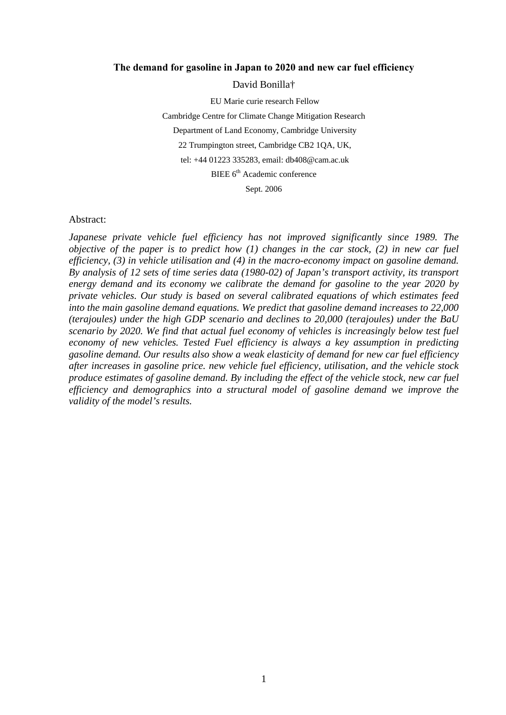#### **The demand for gasoline in Japan to 2020 and new car fuel efficiency**

#### David Bonilla†

EU Marie curie research Fellow

Cambridge Centre for Climate Change Mitigation Research

Department of Land Economy, Cambridge University

22 Trumpington street, Cambridge CB2 1QA, UK,

tel: +44 01223 335283, email: db408@cam.ac.uk

 $BIEE$  6<sup>th</sup> Academic conference

Sept. 2006

Abstract:

*Japanese private vehicle fuel efficiency has not improved significantly since 1989. The objective of the paper is to predict how (1) changes in the car stock, (2) in new car fuel efficiency, (3) in vehicle utilisation and (4) in the macro-economy impact on gasoline demand. By analysis of 12 sets of time series data (1980-02) of Japan's transport activity, its transport energy demand and its economy we calibrate the demand for gasoline to the year 2020 by private vehicles. Our study is based on several calibrated equations of which estimates feed into the main gasoline demand equations. We predict that gasoline demand increases to 22,000 (terajoules) under the high GDP scenario and declines to 20,000 (terajoules) under the BaU scenario by 2020. We find that actual fuel economy of vehicles is increasingly below test fuel economy of new vehicles. Tested Fuel efficiency is always a key assumption in predicting gasoline demand. Our results also show a weak elasticity of demand for new car fuel efficiency after increases in gasoline price. new vehicle fuel efficiency, utilisation, and the vehicle stock produce estimates of gasoline demand. By including the effect of the vehicle stock, new car fuel efficiency and demographics into a structural model of gasoline demand we improve the validity of the model's results.*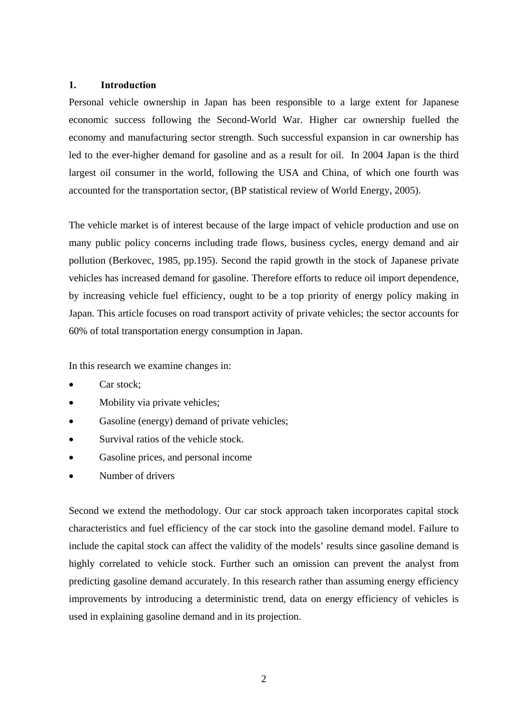## **1. Introduction**

Personal vehicle ownership in Japan has been responsible to a large extent for Japanese economic success following the Second-World War. Higher car ownership fuelled the economy and manufacturing sector strength. Such successful expansion in car ownership has led to the ever-higher demand for gasoline and as a result for oil. In 2004 Japan is the third largest oil consumer in the world, following the USA and China, of which one fourth was accounted for the transportation sector, (BP statistical review of World Energy, 2005).

The vehicle market is of interest because of the large impact of vehicle production and use on many public policy concerns including trade flows, business cycles, energy demand and air pollution (Berkovec, 1985, pp.195). Second the rapid growth in the stock of Japanese private vehicles has increased demand for gasoline. Therefore efforts to reduce oil import dependence, by increasing vehicle fuel efficiency, ought to be a top priority of energy policy making in Japan. This article focuses on road transport activity of private vehicles; the sector accounts for 60% of total transportation energy consumption in Japan.

In this research we examine changes in:

- Car stock:
- Mobility via private vehicles;
- Gasoline (energy) demand of private vehicles;
- Survival ratios of the vehicle stock.
- Gasoline prices, and personal income
- Number of drivers

Second we extend the methodology. Our car stock approach taken incorporates capital stock characteristics and fuel efficiency of the car stock into the gasoline demand model. Failure to include the capital stock can affect the validity of the models' results since gasoline demand is highly correlated to vehicle stock. Further such an omission can prevent the analyst from predicting gasoline demand accurately. In this research rather than assuming energy efficiency improvements by introducing a deterministic trend, data on energy efficiency of vehicles is used in explaining gasoline demand and in its projection.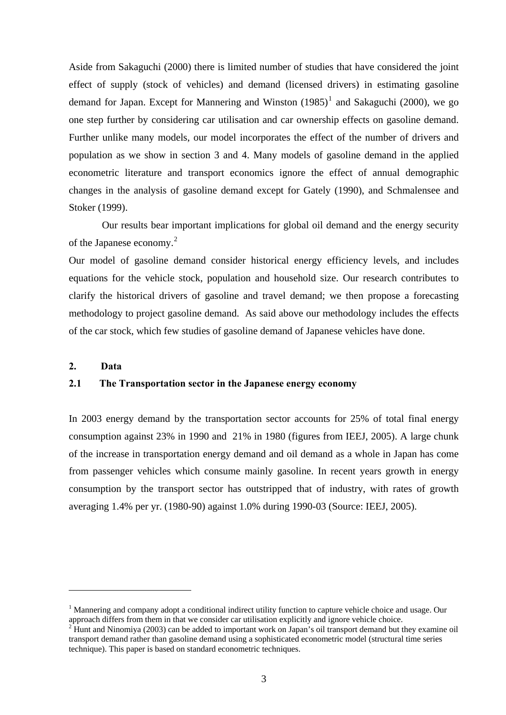Aside from Sakaguchi (2000) there is limited number of studies that have considered the joint effect of supply (stock of vehicles) and demand (licensed drivers) in estimating gasoline demand for Japan. Except for Mannering and Winston  $(1985)^{1}$  $(1985)^{1}$  $(1985)^{1}$  and Sakaguchi (2000), we go one step further by considering car utilisation and car ownership effects on gasoline demand. Further unlike many models, our model incorporates the effect of the number of drivers and population as we show in section 3 and 4. Many models of gasoline demand in the applied econometric literature and transport economics ignore the effect of annual demographic changes in the analysis of gasoline demand except for Gately (1990), and Schmalensee and Stoker (1999).

 Our results bear important implications for global oil demand and the energy security of the Japanese economy.<sup>[2](#page-2-1)</sup>

Our model of gasoline demand consider historical energy efficiency levels, and includes equations for the vehicle stock, population and household size. Our research contributes to clarify the historical drivers of gasoline and travel demand; we then propose a forecasting methodology to project gasoline demand. As said above our methodology includes the effects of the car stock, which few studies of gasoline demand of Japanese vehicles have done.

# **2. Data**

1

## **2.1 The Transportation sector in the Japanese energy economy**

In 2003 energy demand by the transportation sector accounts for 25% of total final energy consumption against 23% in 1990 and 21% in 1980 (figures from IEEJ, 2005). A large chunk of the increase in transportation energy demand and oil demand as a whole in Japan has come from passenger vehicles which consume mainly gasoline. In recent years growth in energy consumption by the transport sector has outstripped that of industry, with rates of growth averaging 1.4% per yr. (1980-90) against 1.0% during 1990-03 (Source: IEEJ, 2005).

<span id="page-2-0"></span><sup>&</sup>lt;sup>1</sup> Mannering and company adopt a conditional indirect utility function to capture vehicle choice and usage. Our approach differs from them in that we consider car utilisation explicitly and ignore vehicle choice. 2

<span id="page-2-1"></span> $\frac{1}{2}$  Hunt and Ninomiya (2003) can be added to important work on Japan's oil transport demand but they examine oil transport demand rather than gasoline demand using a sophisticated econometric model (structural time series technique). This paper is based on standard econometric techniques.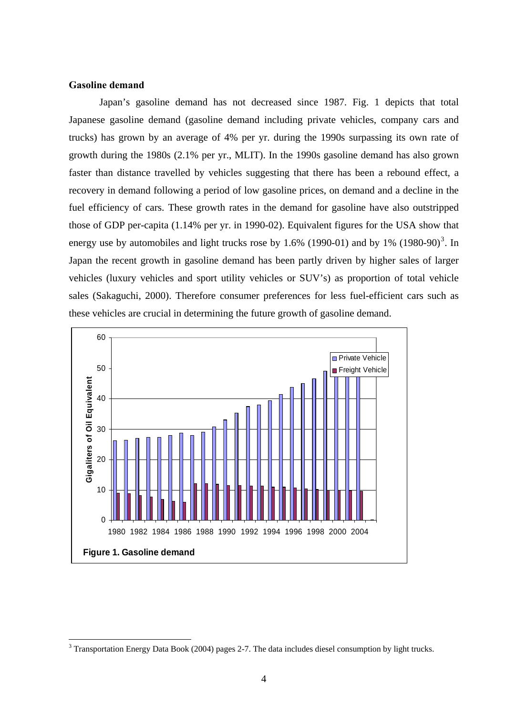#### **Gasoline demand**

Japan's gasoline demand has not decreased since 1987. Fig. 1 depicts that total Japanese gasoline demand (gasoline demand including private vehicles, company cars and trucks) has grown by an average of 4% per yr. during the 1990s surpassing its own rate of growth during the 1980s (2.1% per yr., MLIT). In the 1990s gasoline demand has also grown faster than distance travelled by vehicles suggesting that there has been a rebound effect, a recovery in demand following a period of low gasoline prices, on demand and a decline in the fuel efficiency of cars. These growth rates in the demand for gasoline have also outstripped those of GDP per-capita (1.14% per yr. in 1990-02). Equivalent figures for the USA show that energy use by automobiles and light trucks rose by 1.6% (1990-01) and by 1% (1980-90)<sup>[3](#page-3-0)</sup>. In Japan the recent growth in gasoline demand has been partly driven by higher sales of larger vehicles (luxury vehicles and sport utility vehicles or SUV's) as proportion of total vehicle sales (Sakaguchi, 2000). Therefore consumer preferences for less fuel-efficient cars such as these vehicles are crucial in determining the future growth of gasoline demand.



<span id="page-3-0"></span><sup>&</sup>lt;sup>3</sup> Transportation Energy Data Book (2004) pages 2-7. The data includes diesel consumption by light trucks.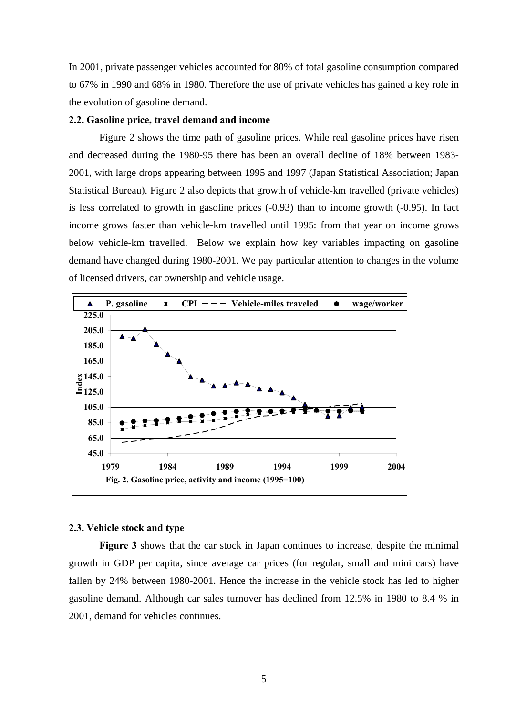In 2001, private passenger vehicles accounted for 80% of total gasoline consumption compared to 67% in 1990 and 68% in 1980. Therefore the use of private vehicles has gained a key role in the evolution of gasoline demand.

#### **2.2. Gasoline price, travel demand and income**

Figure 2 shows the time path of gasoline prices. While real gasoline prices have risen and decreased during the 1980-95 there has been an overall decline of 18% between 1983- 2001, with large drops appearing between 1995 and 1997 (Japan Statistical Association; Japan Statistical Bureau). Figure 2 also depicts that growth of vehicle-km travelled (private vehicles) is less correlated to growth in gasoline prices (-0.93) than to income growth (-0.95). In fact income grows faster than vehicle-km travelled until 1995: from that year on income grows below vehicle-km travelled. Below we explain how key variables impacting on gasoline demand have changed during 1980-2001. We pay particular attention to changes in the volume of licensed drivers, car ownership and vehicle usage.



#### **2.3. Vehicle stock and type**

**Figure 3** shows that the car stock in Japan continues to increase, despite the minimal growth in GDP per capita, since average car prices (for regular, small and mini cars) have fallen by 24% between 1980-2001. Hence the increase in the vehicle stock has led to higher gasoline demand. Although car sales turnover has declined from 12.5% in 1980 to 8.4 % in 2001, demand for vehicles continues.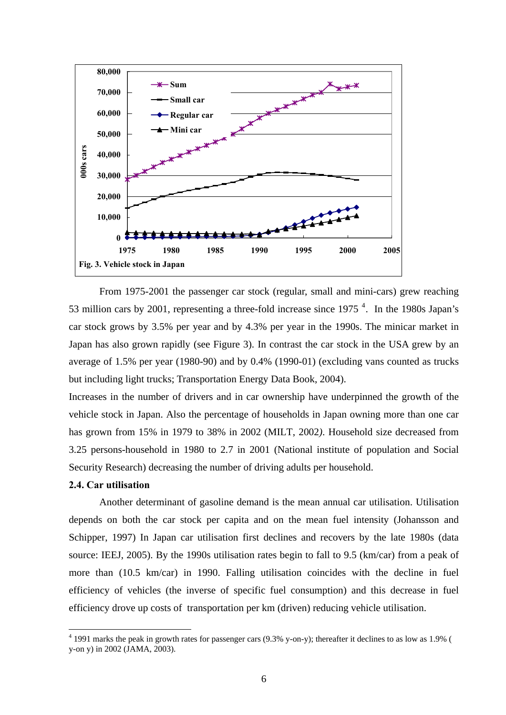

From 1975-2001 the passenger car stock (regular, small and mini-cars) grew reaching 53 million cars by 2001, representing a three-fold increase since  $1975<sup>4</sup>$  $1975<sup>4</sup>$  $1975<sup>4</sup>$ . In the 1980s Japan's car stock grows by 3.5% per year and by 4.3% per year in the 1990s. The minicar market in Japan has also grown rapidly (see Figure 3). In contrast the car stock in the USA grew by an average of 1.5% per year (1980-90) and by 0.4% (1990-01) (excluding vans counted as trucks but including light trucks; Transportation Energy Data Book, 2004).

Increases in the number of drivers and in car ownership have underpinned the growth of the vehicle stock in Japan. Also the percentage of households in Japan owning more than one car has grown from 15% in 1979 to 38% in 2002 (MILT, 2002*)*. Household size decreased from 3.25 persons-household in 1980 to 2.7 in 2001 (National institute of population and Social Security Research) decreasing the number of driving adults per household.

#### **2.4. Car utilisation**

<u>.</u>

Another determinant of gasoline demand is the mean annual car utilisation. Utilisation depends on both the car stock per capita and on the mean fuel intensity (Johansson and Schipper, 1997) In Japan car utilisation first declines and recovers by the late 1980s (data source: IEEJ, 2005). By the 1990s utilisation rates begin to fall to 9.5 (km/car) from a peak of more than (10.5 km/car) in 1990. Falling utilisation coincides with the decline in fuel efficiency of vehicles (the inverse of specific fuel consumption) and this decrease in fuel efficiency drove up costs of transportation per km (driven) reducing vehicle utilisation.

<span id="page-5-0"></span> $4$  1991 marks the peak in growth rates for passenger cars (9.3% y-on-y); thereafter it declines to as low as 1.9% ( y-on y) in 2002 (JAMA, 2003).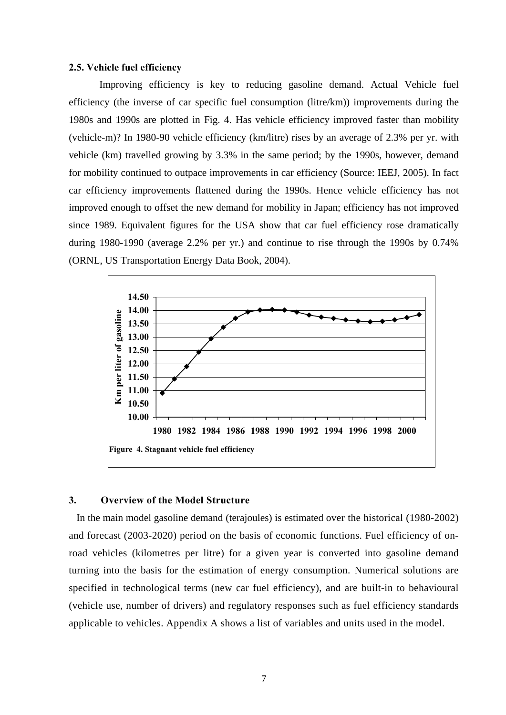#### **2.5. Vehicle fuel efficiency**

Improving efficiency is key to reducing gasoline demand. Actual Vehicle fuel efficiency (the inverse of car specific fuel consumption (litre/km)) improvements during the 1980s and 1990s are plotted in Fig. 4. Has vehicle efficiency improved faster than mobility (vehicle-m)? In 1980-90 vehicle efficiency (km/litre) rises by an average of 2.3% per yr. with vehicle (km) travelled growing by 3.3% in the same period; by the 1990s, however, demand for mobility continued to outpace improvements in car efficiency (Source: IEEJ, 2005). In fact car efficiency improvements flattened during the 1990s. Hence vehicle efficiency has not improved enough to offset the new demand for mobility in Japan; efficiency has not improved since 1989. Equivalent figures for the USA show that car fuel efficiency rose dramatically during 1980-1990 (average 2.2% per yr.) and continue to rise through the 1990s by 0.74% (ORNL, US Transportation Energy Data Book, 2004).



# **3. Overview of the Model Structure**

 In the main model gasoline demand (terajoules) is estimated over the historical (1980-2002) and forecast (2003-2020) period on the basis of economic functions. Fuel efficiency of onroad vehicles (kilometres per litre) for a given year is converted into gasoline demand turning into the basis for the estimation of energy consumption. Numerical solutions are specified in technological terms (new car fuel efficiency), and are built-in to behavioural (vehicle use, number of drivers) and regulatory responses such as fuel efficiency standards applicable to vehicles. Appendix A shows a list of variables and units used in the model.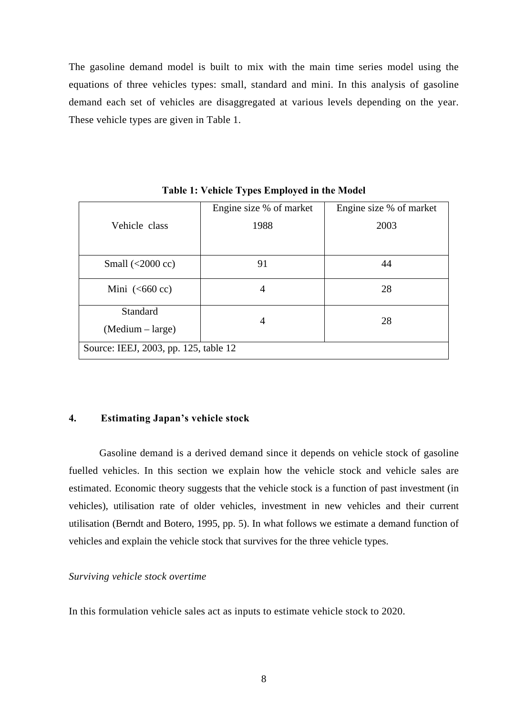The gasoline demand model is built to mix with the main time series model using the equations of three vehicles types: small, standard and mini. In this analysis of gasoline demand each set of vehicles are disaggregated at various levels depending on the year. These vehicle types are given in Table 1.

|                                       | Engine size % of market | Engine size % of market |  |
|---------------------------------------|-------------------------|-------------------------|--|
| Vehicle class                         | 1988                    | 2003                    |  |
|                                       |                         |                         |  |
| Small $(<2000$ cc)                    | 91                      | 44                      |  |
| Mini $(< 660$ cc)                     | 4                       | 28                      |  |
| <b>Standard</b>                       |                         |                         |  |
| $(Medium - large)$                    | 4                       | 28                      |  |
| Source: IEEJ, 2003, pp. 125, table 12 |                         |                         |  |

**Table 1: Vehicle Types Employed in the Model** 

# **4. Estimating Japan's vehicle stock**

Gasoline demand is a derived demand since it depends on vehicle stock of gasoline fuelled vehicles. In this section we explain how the vehicle stock and vehicle sales are estimated. Economic theory suggests that the vehicle stock is a function of past investment (in vehicles), utilisation rate of older vehicles, investment in new vehicles and their current utilisation (Berndt and Botero, 1995, pp. 5). In what follows we estimate a demand function of vehicles and explain the vehicle stock that survives for the three vehicle types.

## *Surviving vehicle stock overtime*

In this formulation vehicle sales act as inputs to estimate vehicle stock to 2020.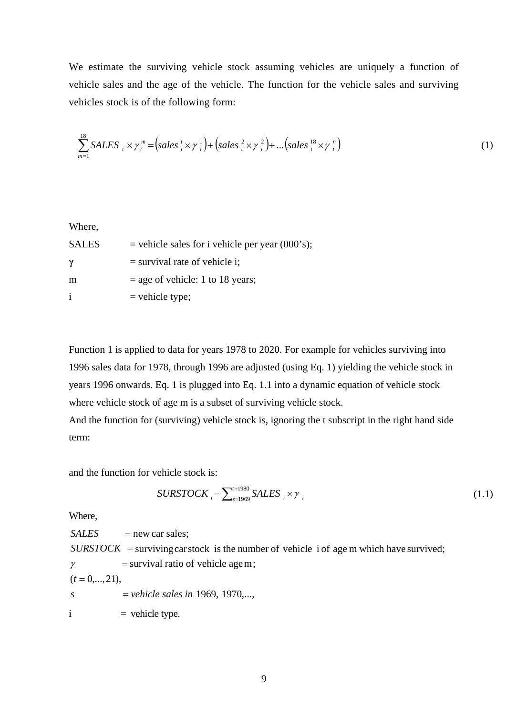We estimate the surviving vehicle stock assuming vehicles are uniquely a function of vehicle sales and the age of the vehicle. The function for the vehicle sales and surviving vehicles stock is of the following form:

$$
\sum_{m=1}^{18} SALES_{i} \times \gamma_{i}^{m} = \left(sales_{i}^{t} \times \gamma_{i}^{1}\right) + \left(sales_{i}^{2} \times \gamma_{i}^{2}\right) + \dots \left(sales_{i}^{18} \times \gamma_{i}^{n}\right)
$$
\n
$$
\tag{1}
$$

Where,

| <b>SALES</b> | $=$ vehicle sales for i vehicle per year (000's); |
|--------------|---------------------------------------------------|
| γ            | $=$ survival rate of vehicle i;                   |
| m            | $=$ age of vehicle: 1 to 18 years;                |
| $\mathbf{i}$ | $=$ vehicle type;                                 |

Function 1 is applied to data for years 1978 to 2020. For example for vehicles surviving into 1996 sales data for 1978, through 1996 are adjusted (using Eq. 1) yielding the vehicle stock in years 1996 onwards. Eq. 1 is plugged into Eq. 1.1 into a dynamic equation of vehicle stock where vehicle stock of age m is a subset of surviving vehicle stock.

And the function for (surviving) vehicle stock is, ignoring the t subscript in the right hand side term:

and the function for vehicle stock is:

$$
SURSTOCK_{t} = \sum_{s=1969}^{t+1980} SALES_{t} \times \gamma_{t}
$$
\n(1.1)

Where,

*s* = *vehicle sales in* 1969, 1970,...,  $(t = 0, \ldots, 21),$  $=$  survival ratio of vehicle agem;  $\textit{SURSTOCK}$  = surviving carstock is the number of vehicle i of age m which have survived; = new car sales; *SALES* γ  $i$  = vehicle type.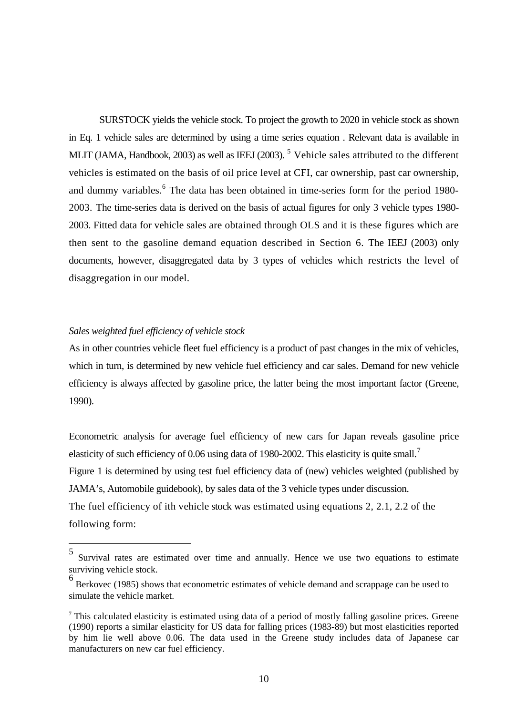SURSTOCK yields the vehicle stock. To project the growth to 2020 in vehicle stock as shown in Eq. 1 vehicle sales are determined by using a time series equation . Relevant data is available in MLIT (JAMA, Handbook, 2003) as well as IEEJ (2003). <sup>[5](#page-9-0)</sup> Vehicle sales attributed to the different vehicles is estimated on the basis of oil price level at CFI, car ownership, past car ownership, and dummy variables.<sup>[6](#page-9-1)</sup> The data has been obtained in time-series form for the period 1980-2003. The time-series data is derived on the basis of actual figures for only 3 vehicle types 1980- 2003. Fitted data for vehicle sales are obtained through OLS and it is these figures which are then sent to the gasoline demand equation described in Section 6. The IEEJ (2003) only documents, however, disaggregated data by 3 types of vehicles which restricts the level of disaggregation in our model.

## *Sales weighted fuel efficiency of vehicle stock*

1

As in other countries vehicle fleet fuel efficiency is a product of past changes in the mix of vehicles, which in turn, is determined by new vehicle fuel efficiency and car sales. Demand for new vehicle efficiency is always affected by gasoline price, the latter being the most important factor (Greene, 1990).

Econometric analysis for average fuel efficiency of new cars for Japan reveals gasoline price elasticity of such efficiency of 0.06 using data of 1980-2002. This elasticity is quite small.<sup>[7](#page-9-2)</sup> Figure 1 is determined by using test fuel efficiency data of (new) vehicles weighted (published by JAMA's, Automobile guidebook), by sales data of the 3 vehicle types under discussion. The fuel efficiency of ith vehicle stock was estimated using equations 2, 2.1, 2.2 of the following form:

<span id="page-9-0"></span><sup>5</sup> Survival rates are estimated over time and annually. Hence we use two equations to estimate surviving vehicle stock.

<span id="page-9-1"></span><sup>&</sup>lt;sup>6</sup> Berkovec (1985) shows that econometric estimates of vehicle demand and scrappage can be used to simulate the vehicle market.

<span id="page-9-2"></span><sup>&</sup>lt;sup>7</sup> This calculated elasticity is estimated using data of a period of mostly falling gasoline prices. Greene (1990) reports a similar elasticity for US data for falling prices (1983-89) but most elasticities reported by him lie well above 0.06. The data used in the Greene study includes data of Japanese car manufacturers on new car fuel efficiency.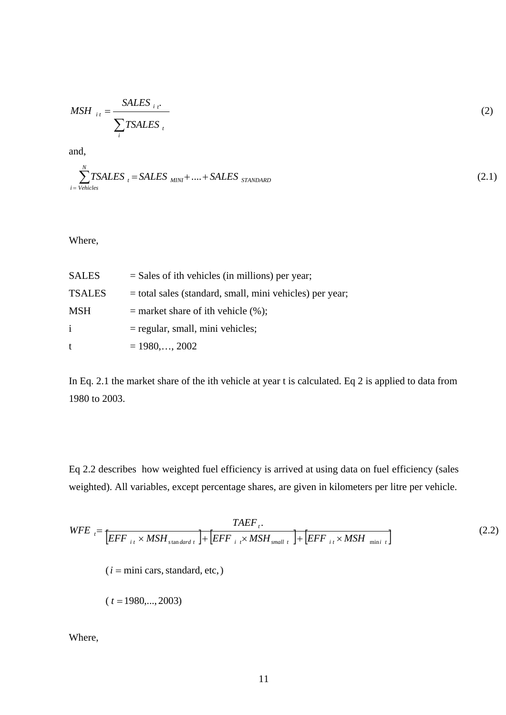$$
MSH_{i} = \frac{SALES_{i} \cdot (2)}{\sum_{i} TSALES_{i}}
$$

and,

$$
\sum_{i=\text{Vehicles}}^{N} TSALES_{i} = SALES_{\text{MINI}} + \dots + SALES_{\text{STANDARD}} \tag{2.1}
$$

Where,

| <b>SALES</b>  | $=$ Sales of ith vehicles (in millions) per year;          |
|---------------|------------------------------------------------------------|
| <b>TSALES</b> | $=$ total sales (standard, small, mini vehicles) per year; |
| <b>MSH</b>    | $=$ market share of ith vehicle $(\%);$                    |
| $\mathbf{i}$  | $=$ regular, small, mini vehicles;                         |
| t             | $= 1980,, 2002$                                            |

In Eq. 2.1 the market share of the ith vehicle at year t is calculated. Eq 2 is applied to data from 1980 to 2003.

Eq 2.2 describes how weighted fuel efficiency is arrived at using data on fuel efficiency (sales weighted). All variables, except percentage shares, are given in kilometers per litre per vehicle.

$$
WFE_{i} = \frac{TAEF_{i}}{EFF_{i} \times MSH_{standard}} + \left[EFF_{i} \times MSH_{small} + \left[EFF_{i} \times MSH_{min} + \left[EFF_{i} \times MSH_{min} + \left[EFF_{i} \times MSH_{min} + \left[EFF_{i} \times MSH_{min} + \left[EFF_{i} \times MSH_{min} + \left[EFF_{i} \times MSH_{min} + \left[EFF_{i} \times MSH_{min} + \left[EFF_{i} \times MSH_{min} + \left[EFF_{i} \times MSH_{min} + \left[EFF_{i} \times MSH_{min} + \left[EFF_{i} \times MSH_{min} + \left[EFF_{i} \times MSH_{min} + \left[EFF_{i} \times MSH_{min} + \left[EFF_{i} \times MSH_{min} + \left[EFF_{i} \times MSH_{min} + \left[EFF_{i} \times MSH_{min} + \left[EFF_{i} \times MSH_{min} + \left[EFF_{i} \times MSH_{min} + \left[EFF_{i} \times MSH_{min} + \left[EFF_{i} \times MSH_{min} + \left[EFF_{i} \times MSH_{min} + \left[EFF_{i} \times MSH_{min} + \left[EF\right] + \left[EF\right] + \left[EF\right] + \left[EF\right] + \left[EF\right] + \left[EF\right] + \left[EF\right] + \left[EF\right] + \left[EF\right] + \left[EF\right] + \left[EF\right] + \left[EF\right] + \left[EF\right] + \left[EF\right] + \left[EF\right] + \left[EF\right] + \left[EF\right] + \left[EF\right] + \left[EF\right] + \left[EF\right] + \left[EF\right] + \left[EF\right] + \left[EF\right] + \left[EF\right] + \left[EF\right] + \left[EF\right] + \left[EF\right] + \left[EF\right] + \left[EF\right] + \left[EF\right] + \left[EF\right] + \left[EF\right] + \left[EF\right] + \left[EF\right] + \left[EF\right] + \left[EF\right] + \left[EF\right] + \left[EF\right] + \left[EF\right] + \left[EF\right] + \left[EF\right] + \left[EF\right] + \left[EF\right] + \left[EF\right] + \left[EF\right] + \left[EF\right] + \left[EF\right] + \left[EF\right] + \
$$

 $(i = \text{mini cars}, \text{standard}, \text{etc.})$ 

$$
(\,t=1980,...,2003)
$$

Where,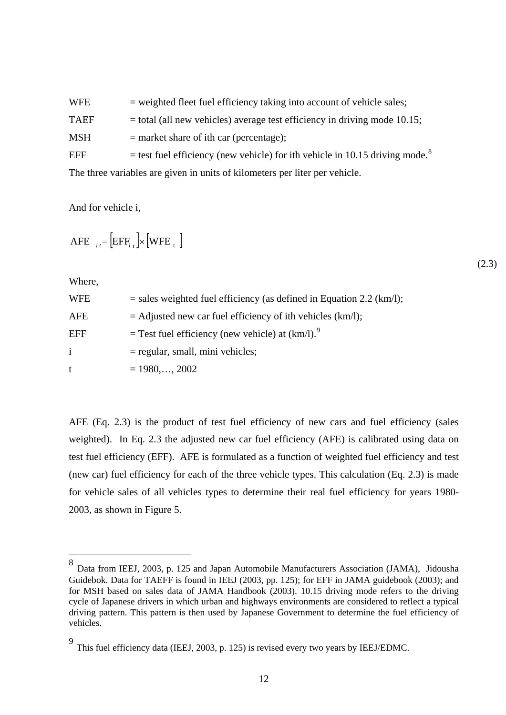| <b>WFE</b>  | $=$ weighted fleet fuel efficiency taking into account of vehicle sales;                   |
|-------------|--------------------------------------------------------------------------------------------|
| <b>TAEF</b> | $=$ total (all new vehicles) average test efficiency in driving mode 10.15;                |
| <b>MSH</b>  | $=$ market share of ith car (percentage);                                                  |
| <b>EFF</b>  | $=$ test fuel efficiency (new vehicle) for ith vehicle in 10.15 driving mode. <sup>8</sup> |
|             | The three variables are given in units of kilometers per liter per vehicle.                |

And for vehicle i,

$$
AFE_{i} = \left[ EFF_{i} \right] \times \left[ WFE_{i} \right]
$$

Where,

<u>.</u>

| <b>WFE</b> | $=$ sales weighted fuel efficiency (as defined in Equation 2.2 (km/l); |
|------------|------------------------------------------------------------------------|
| AFE        | $=$ Adjusted new car fuel efficiency of ith vehicles (km/l);           |
| <b>EFF</b> | $=$ Test fuel efficiency (new vehicle) at (km/l). <sup>9</sup>         |
| i.         | $=$ regular, small, mini vehicles;                                     |
| t          | $= 1980,, 2002$                                                        |

(2.3)

AFE (Eq. 2.3) is the product of test fuel efficiency of new cars and fuel efficiency (sales weighted). In Eq. 2.3 the adjusted new car fuel efficiency (AFE) is calibrated using data on test fuel efficiency (EFF). AFE is formulated as a function of weighted fuel efficiency and test (new car) fuel efficiency for each of the three vehicle types. This calculation (Eq. 2.3) is made for vehicle sales of all vehicles types to determine their real fuel efficiency for years 1980- 2003, as shown in Figure 5.

<span id="page-11-0"></span><sup>8</sup> Data from IEEJ, 2003, p. 125 and Japan Automobile Manufacturers Association (JAMA), Jidousha Guidebok. Data for TAEFF is found in IEEJ (2003, pp. 125); for EFF in JAMA guidebook (2003); and for MSH based on sales data of JAMA Handbook (2003). 10.15 driving mode refers to the driving cycle of Japanese drivers in which urban and highways environments are considered to reflect a typical driving pattern. This pattern is then used by Japanese Government to determine the fuel efficiency of vehicles.

<span id="page-11-1"></span><sup>9</sup> This fuel efficiency data (IEEJ, 2003, p. 125) is revised every two years by IEEJ/EDMC.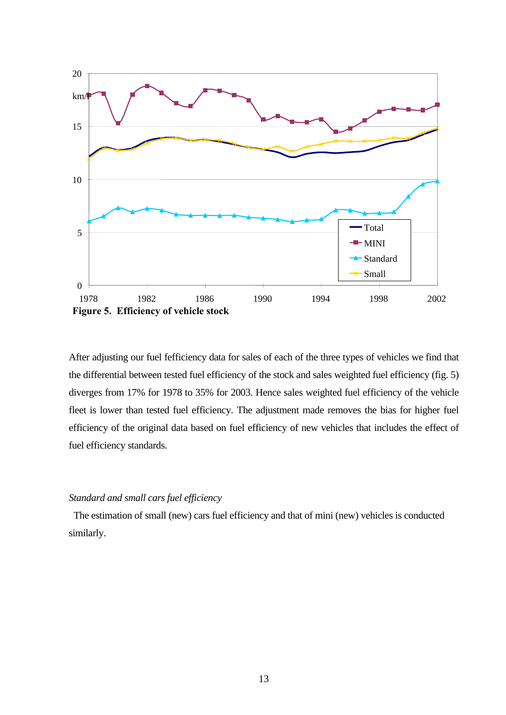

After adjusting our fuel fefficiency data for sales of each of the three types of vehicles we find that the differential between tested fuel efficiency of the stock and sales weighted fuel efficiency (fig. 5) diverges from 17% for 1978 to 35% for 2003. Hence sales weighted fuel efficiency of the vehicle fleet is lower than tested fuel efficiency. The adjustment made removes the bias for higher fuel efficiency of the original data based on fuel efficiency of new vehicles that includes the effect of fuel efficiency standards.

# *Standard and small cars fuel efficiency*

 The estimation of small (new) cars fuel efficiency and that of mini (new) vehicles is conducted similarly.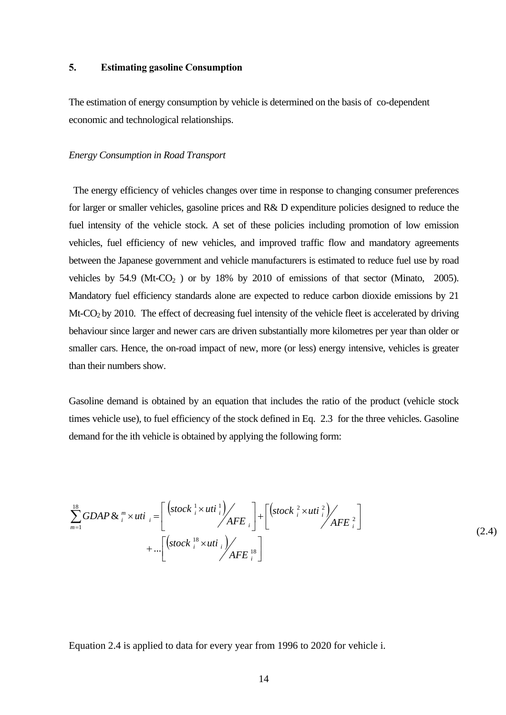#### **5. Estimating gasoline Consumption**

The estimation of energy consumption by vehicle is determined on the basis of co-dependent economic and technological relationships.

#### *Energy Consumption in Road Transport*

 The energy efficiency of vehicles changes over time in response to changing consumer preferences for larger or smaller vehicles, gasoline prices and R& D expenditure policies designed to reduce the fuel intensity of the vehicle stock. A set of these policies including promotion of low emission vehicles, fuel efficiency of new vehicles, and improved traffic flow and mandatory agreements between the Japanese government and vehicle manufacturers is estimated to reduce fuel use by road vehicles by 54.9 (Mt- $CO<sub>2</sub>$ ) or by 18% by 2010 of emissions of that sector (Minato, 2005). Mandatory fuel efficiency standards alone are expected to reduce carbon dioxide emissions by 21  $Mt$ - $CO<sub>2</sub>$  by 2010. The effect of decreasing fuel intensity of the vehicle fleet is accelerated by driving behaviour since larger and newer cars are driven substantially more kilometres per year than older or smaller cars. Hence, the on-road impact of new, more (or less) energy intensive, vehicles is greater than their numbers show.

Gasoline demand is obtained by an equation that includes the ratio of the product (vehicle stock times vehicle use), to fuel efficiency of the stock defined in Eq. 2.3 for the three vehicles. Gasoline demand for the ith vehicle is obtained by applying the following form:

$$
\sum_{m=1}^{18} GDAP \& \sum_{i=1}^{m} \times uti_{i} = \left[ \frac{\left( \operatorname{stock} \frac{1}{i} \times uti_{i} \right)}{AFE}_{i} \right] + \left[ \left( \operatorname{stock} \frac{2}{i} \times uti_{i} \right) \right] + \dots \left[ \left( \operatorname{stock} \frac{18}{i} \times uti_{i} \right) \right] + \dots \left[ \left( \operatorname{stock} \frac{18}{i} \times uti_{i} \right) \right] \tag{2.4}
$$

Equation 2.4 is applied to data for every year from 1996 to 2020 for vehicle i.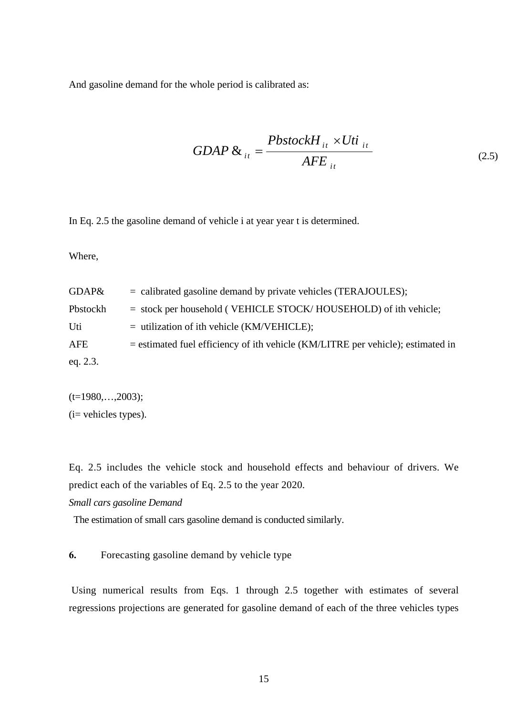And gasoline demand for the whole period is calibrated as:

$$
GDAP \&_{it} = \frac{PbstockH_{it} \times Uti_{it}}{AFE_{it}} \tag{2.5}
$$

In Eq. 2.5 the gasoline demand of vehicle i at year year t is determined.

Where,

| GDAP&    | $=$ calibrated gasoline demand by private vehicles (TERAJOULES);                  |
|----------|-----------------------------------------------------------------------------------|
| Pbstockh | = stock per household (VEHICLE STOCK/HOUSEHOLD) of ith vehicle;                   |
| Uti      | $=$ utilization of ith vehicle (KM/VEHICLE);                                      |
| AFE      | $=$ estimated fuel efficiency of ith vehicle (KM/LITRE per vehicle); estimated in |
| eq. 2.3. |                                                                                   |

(t=1980,…,2003); (i= vehicles types).

Eq. 2.5 includes the vehicle stock and household effects and behaviour of drivers. We predict each of the variables of Eq. 2.5 to the year 2020. *Small cars gasoline Demand* 

The estimation of small cars gasoline demand is conducted similarly.

**6.** Forecasting gasoline demand by vehicle type

 Using numerical results from Eqs. 1 through 2.5 together with estimates of several regressions projections are generated for gasoline demand of each of the three vehicles types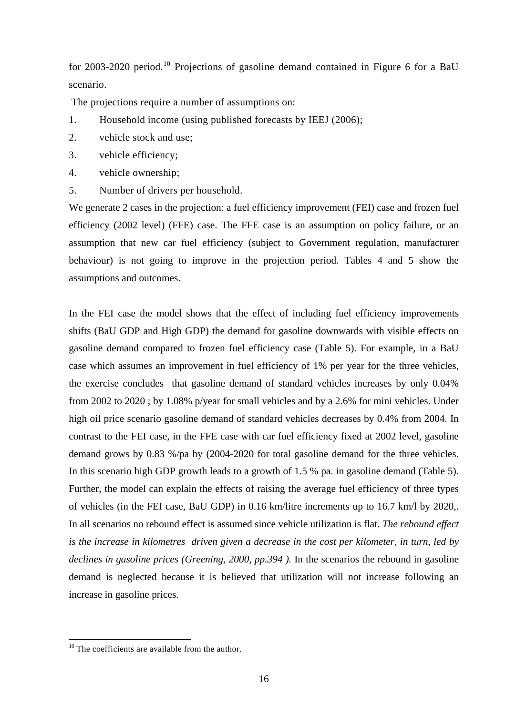for 2003-2020 period.<sup>[10](#page-15-0)</sup> Projections of gasoline demand contained in Figure 6 for a BaU scenario.

The projections require a number of assumptions on:

- 1. Household income (using published forecasts by IEEJ (2006);
- 2. vehicle stock and use;
- 3. vehicle efficiency;
- 4. vehicle ownership;
- 5. Number of drivers per household.

We generate 2 cases in the projection: a fuel efficiency improvement (FEI) case and frozen fuel efficiency (2002 level) (FFE) case. The FFE case is an assumption on policy failure, or an assumption that new car fuel efficiency (subject to Government regulation, manufacturer behaviour) is not going to improve in the projection period. Tables 4 and 5 show the assumptions and outcomes.

In the FEI case the model shows that the effect of including fuel efficiency improvements shifts (BaU GDP and High GDP) the demand for gasoline downwards with visible effects on gasoline demand compared to frozen fuel efficiency case (Table 5). For example, in a BaU case which assumes an improvement in fuel efficiency of 1% per year for the three vehicles, the exercise concludes that gasoline demand of standard vehicles increases by only 0.04% from 2002 to 2020 ; by 1.08% p/year for small vehicles and by a 2.6% for mini vehicles. Under high oil price scenario gasoline demand of standard vehicles decreases by 0.4% from 2004. In contrast to the FEI case, in the FFE case with car fuel efficiency fixed at 2002 level, gasoline demand grows by 0.83 %/pa by (2004-2020 for total gasoline demand for the three vehicles. In this scenario high GDP growth leads to a growth of 1.5 % pa. in gasoline demand (Table 5). Further, the model can explain the effects of raising the average fuel efficiency of three types of vehicles (in the FEI case, BaU GDP) in 0.16 km/litre increments up to 16.7 km/l by 2020,. In all scenarios no rebound effect is assumed since vehicle utilization is flat. *The rebound effect is the increase in kilometres driven given a decrease in the cost per kilometer, in turn, led by*  declines in gasoline prices (Greening, 2000, pp.394). In the scenarios the rebound in gasoline demand is neglected because it is believed that utilization will not increase following an increase in gasoline prices.

1

<span id="page-15-0"></span> $10$  The coefficients are available from the author.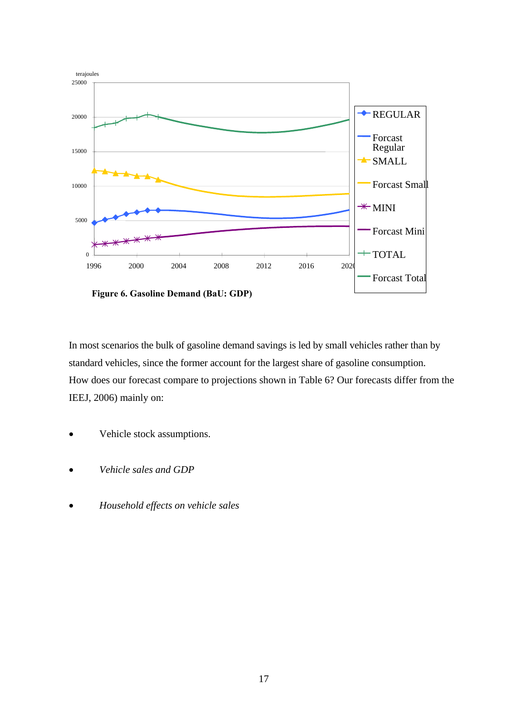

In most scenarios the bulk of gasoline demand savings is led by small vehicles rather than by standard vehicles, since the former account for the largest share of gasoline consumption. How does our forecast compare to projections shown in Table 6? Our forecasts differ from the IEEJ, 2006) mainly on:

- Vehicle stock assumptions.
- *Vehicle sales and GDP*
- *Household effects on vehicle sales*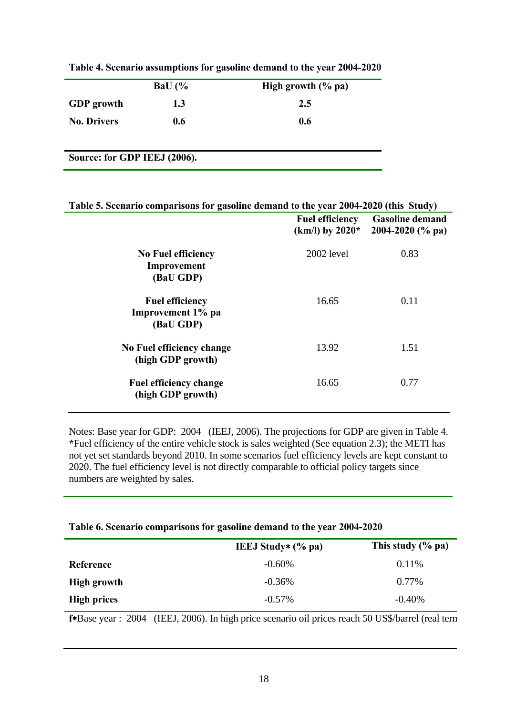|                              | <b>BaU</b> $(\%$ | High growth $(\%$ pa) |  |
|------------------------------|------------------|-----------------------|--|
| <b>GDP</b> growth            | 1.3              | 2.5                   |  |
| <b>No. Drivers</b>           | 0.6              | 0.6                   |  |
| Source: for GDP IEEJ (2006). |                  |                       |  |

**Table 4. Scenario assumptions for gasoline demand to the year 2004-2020** 

# **Table 5. Scenario comparisons for gasoline demand to the year 2004-2020 (this Study)**

|                                                          | <b>Fuel efficiency</b><br>(km/l) by $2020*$ | <b>Gasoline demand</b><br>2004-2020 (% pa) |
|----------------------------------------------------------|---------------------------------------------|--------------------------------------------|
| <b>No Fuel efficiency</b><br>Improvement<br>(BaU GDP)    | $2002$ level                                | 0.83                                       |
| <b>Fuel efficiency</b><br>Improvement 1% pa<br>(BaU GDP) | 16.65                                       | 0.11                                       |
| No Fuel efficiency change<br>(high GDP growth)           | 13.92                                       | 1.51                                       |
| <b>Fuel efficiency change</b><br>(high GDP growth)       | 16.65                                       | 0.77                                       |

Notes: Base year for GDP: 2004 (IEEJ, 2006). The projections for GDP are given in Table 4. **\***Fuel efficiency of the entire vehicle stock is sales weighted (See equation 2.3); the METI has not yet set standards beyond 2010. In some scenarios fuel efficiency levels are kept constant to 2020. The fuel efficiency level is not directly comparable to official policy targets since numbers are weighted by sales.

# **Table 6. Scenario comparisons for gasoline demand to the year 2004-2020**

|                    | IEEJ Study* $(\%$ pa) | This study $(\%$ pa) |
|--------------------|-----------------------|----------------------|
| Reference          | $-0.60\%$             | 0.11%                |
| High growth        | $-0.36\%$             | 0.77%                |
| <b>High prices</b> | $-0.57\%$             | $-0.40\%$            |

**f**∗Base year : 2004 (IEEJ, 2006). In high price scenario oil prices reach 50 US\$/barrel (real term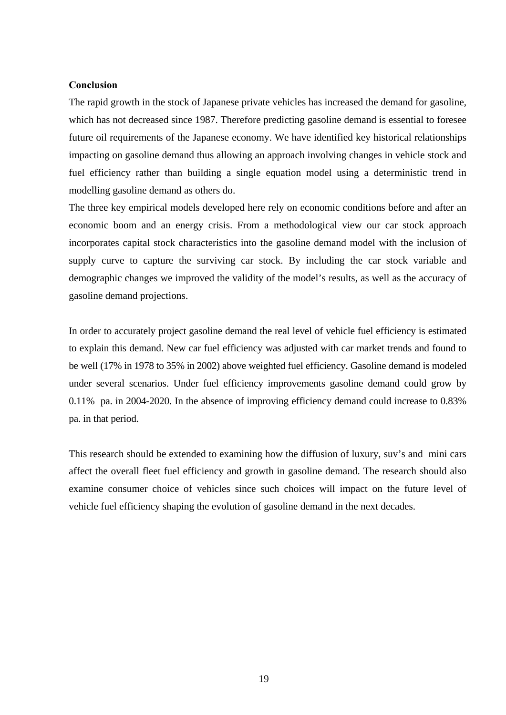# **Conclusion**

The rapid growth in the stock of Japanese private vehicles has increased the demand for gasoline, which has not decreased since 1987. Therefore predicting gasoline demand is essential to foresee future oil requirements of the Japanese economy. We have identified key historical relationships impacting on gasoline demand thus allowing an approach involving changes in vehicle stock and fuel efficiency rather than building a single equation model using a deterministic trend in modelling gasoline demand as others do.

The three key empirical models developed here rely on economic conditions before and after an economic boom and an energy crisis. From a methodological view our car stock approach incorporates capital stock characteristics into the gasoline demand model with the inclusion of supply curve to capture the surviving car stock. By including the car stock variable and demographic changes we improved the validity of the model's results, as well as the accuracy of gasoline demand projections.

In order to accurately project gasoline demand the real level of vehicle fuel efficiency is estimated to explain this demand. New car fuel efficiency was adjusted with car market trends and found to be well (17% in 1978 to 35% in 2002) above weighted fuel efficiency. Gasoline demand is modeled under several scenarios. Under fuel efficiency improvements gasoline demand could grow by 0.11% pa. in 2004-2020. In the absence of improving efficiency demand could increase to 0.83% pa. in that period.

This research should be extended to examining how the diffusion of luxury, suv's and mini cars affect the overall fleet fuel efficiency and growth in gasoline demand. The research should also examine consumer choice of vehicles since such choices will impact on the future level of vehicle fuel efficiency shaping the evolution of gasoline demand in the next decades.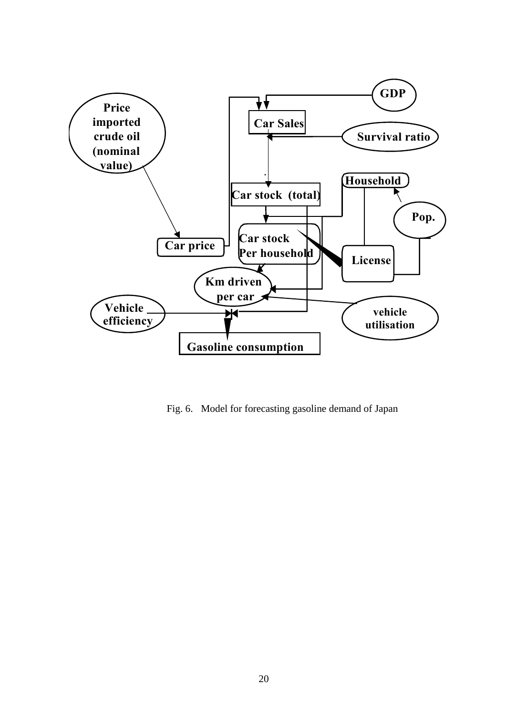

Fig. 6. Model for forecasting gasoline demand of Japan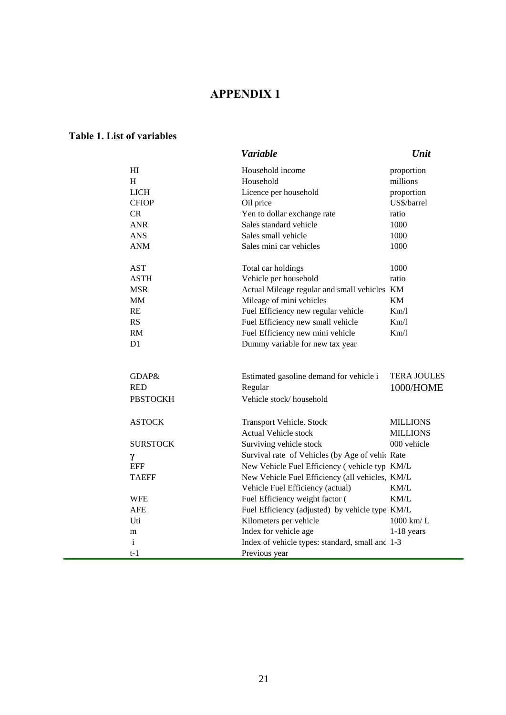# **APPENDIX 1**

# **Table 1. List of variables**

|                 | <b>Variable</b>                                 | Unit               |
|-----------------|-------------------------------------------------|--------------------|
| H <sub>I</sub>  | Household income                                | proportion         |
| H               | Household                                       | millions           |
| <b>LICH</b>     | Licence per household                           | proportion         |
| <b>CFIOP</b>    | Oil price                                       | US\$/barrel        |
| CR              | Yen to dollar exchange rate                     | ratio              |
| <b>ANR</b>      | Sales standard vehicle                          | 1000               |
| <b>ANS</b>      | Sales small vehicle                             | 1000               |
| <b>ANM</b>      | Sales mini car vehicles                         | 1000               |
| <b>AST</b>      | Total car holdings                              | 1000               |
| <b>ASTH</b>     | Vehicle per household                           | ratio              |
| <b>MSR</b>      | Actual Mileage regular and small vehicles KM    |                    |
| <b>MM</b>       | Mileage of mini vehicles                        | KM.                |
| RE              | Fuel Efficiency new regular vehicle             | Km/l               |
| RS              | Fuel Efficiency new small vehicle               | Km/l               |
| RM              | Fuel Efficiency new mini vehicle                | Km/l               |
| D <sub>1</sub>  | Dummy variable for new tax year                 |                    |
| GDAP&           | Estimated gasoline demand for vehicle i         | <b>TERA JOULES</b> |
| <b>RED</b>      | Regular                                         | 1000/HOME          |
| <b>PBSTOCKH</b> | Vehicle stock/household                         |                    |
| <b>ASTOCK</b>   | Transport Vehicle. Stock                        | <b>MILLIONS</b>    |
|                 | <b>Actual Vehicle stock</b>                     | <b>MILLIONS</b>    |
| <b>SURSTOCK</b> | Surviving vehicle stock                         | 000 vehicle        |
| γ               | Survival rate of Vehicles (by Age of vehic Rate |                    |
| <b>EFF</b>      | New Vehicle Fuel Efficiency (vehicle typ KM/L   |                    |
| <b>TAEFF</b>    | New Vehicle Fuel Efficiency (all vehicles, KM/L |                    |
|                 | Vehicle Fuel Efficiency (actual)                | KM/L               |
| <b>WFE</b>      | Fuel Efficiency weight factor (                 | KM/L               |
| <b>AFE</b>      | Fuel Efficiency (adjusted) by vehicle type KM/L |                    |
| Uti             | Kilometers per vehicle                          | 1000 km/L          |
| m               | Index for vehicle age                           | $1-18$ years       |
| $\mathbf{i}$    | Index of vehicle types: standard, small and 1-3 |                    |
| $t-1$           | Previous year                                   |                    |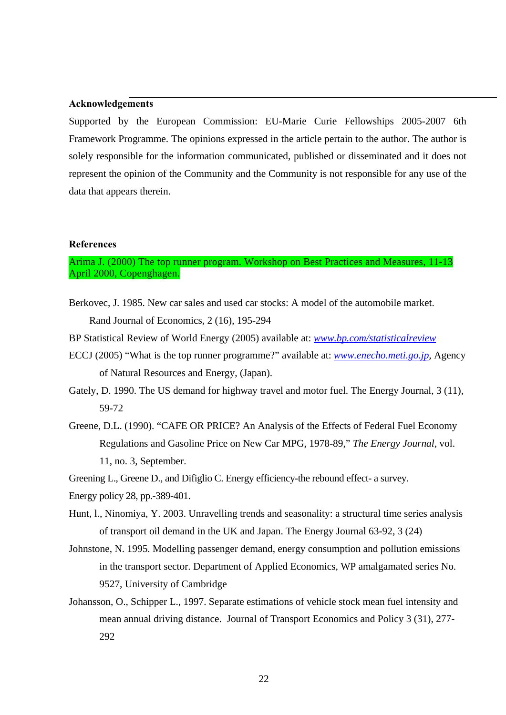#### **Acknowledgements**

Supported by the European Commission: EU-Marie Curie Fellowships 2005-2007 6th Framework Programme. The opinions expressed in the article pertain to the author. The author is solely responsible for the information communicated, published or disseminated and it does not represent the opinion of the Community and the Community is not responsible for any use of the data that appears therein.

#### **References**

Arima J. (2000) The top runner program. Workshop on Best Practices and Measures, 11-13 April 2000, Copenghagen.

- Berkovec, J. 1985. New car sales and used car stocks: A model of the automobile market. Rand Journal of Economics, 2 (16), 195-294
- BP Statistical Review of World Energy (2005) available at: *[www.bp.com/statisticalreview](http://www.bp.com/statisticalreview)*
- ECCJ (2005) "What is the top runner programme?" available at: *[www.enecho.meti.go.jp,](http://www.enecho.meti.go.jp/)* Agency of Natural Resources and Energy, (Japan).
- Gately, D. 1990. The US demand for highway travel and motor fuel. The Energy Journal, 3 (11), 59-72
- Greene, D.L. (1990). "CAFE OR PRICE? An Analysis of the Effects of Federal Fuel Economy Regulations and Gasoline Price on New Car MPG, 1978-89," *The Energy Journal*, vol. 11, no. 3, September.
- Greening L., Greene D., and Difiglio C. Energy efficiency-the rebound effect- a survey.
- Energy policy 28, pp.-389-401.
- Hunt, l., Ninomiya, Y. 2003. Unravelling trends and seasonality: a structural time series analysis of transport oil demand in the UK and Japan. The Energy Journal 63-92, 3 (24)
- Johnstone, N. 1995. Modelling passenger demand, energy consumption and pollution emissions in the transport sector. Department of Applied Economics, WP amalgamated series No. 9527, University of Cambridge
- Johansson, O., Schipper L., 1997. Separate estimations of vehicle stock mean fuel intensity and mean annual driving distance. Journal of Transport Economics and Policy 3 (31), 277- 292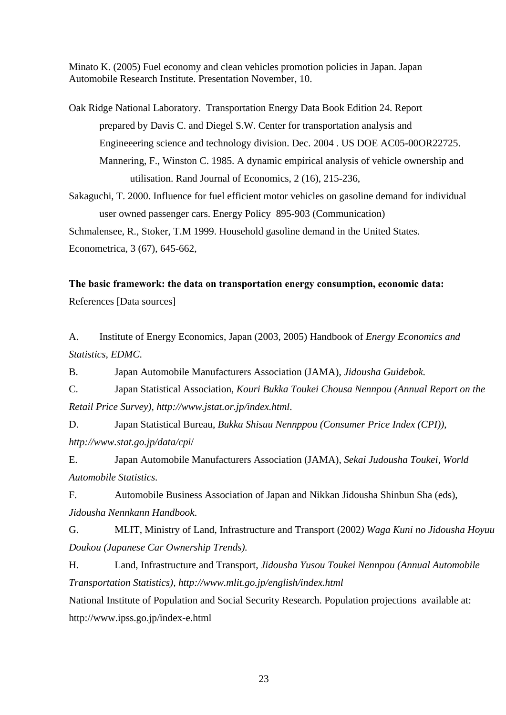Minato K. (2005) Fuel economy and clean vehicles promotion policies in Japan. Japan Automobile Research Institute. Presentation November, 10.

Oak Ridge National Laboratory. Transportation Energy Data Book Edition 24. Report prepared by Davis C. and Diegel S.W. Center for transportation analysis and Engineeering science and technology division. Dec. 2004 . US DOE AC05-00OR22725. Mannering, F., Winston C. 1985. A dynamic empirical analysis of vehicle ownership and utilisation. Rand Journal of Economics, 2 (16), 215-236,

Sakaguchi, T. 2000. Influence for fuel efficient motor vehicles on gasoline demand for individual user owned passenger cars. Energy Policy 895-903 (Communication)

Schmalensee, R., Stoker, T.M 1999. Household gasoline demand in the United States.

Econometrica, 3 (67), 645-662,

**The basic framework: the data on transportation energy consumption, economic data:** References [Data sources]

A. Institute of Energy Economics, Japan (2003, 2005) Handbook of *Energy Economics and Statistics, EDMC*.

B. Japan Automobile Manufacturers Association (JAMA), *Jidousha Guidebok.* 

C. Japan Statistical Association, *Kouri Bukka Toukei Chousa Nennpou (Annual Report on the Retail Price Survey), http://www.jstat.or.jp/index.html*.

D. Japan Statistical Bureau, *Bukka Shisuu Nennppou (Consumer Price Index (CPI))*, *http://www.stat.go.jp/data/cpi*/

E. Japan Automobile Manufacturers Association (JAMA), *Sekai Judousha Toukei, World Automobile Statistics.*

F. Automobile Business Association of Japan and Nikkan Jidousha Shinbun Sha (eds), *Jidousha Nennkann Handbook*.

G. MLIT, Ministry of Land, Infrastructure and Transport (2002*) Waga Kuni no Jidousha Hoyuu Doukou (Japanese Car Ownership Trends).*

H. Land, Infrastructure and Transport, *Jidousha Yusou Toukei Nennpou (Annual Automobile Transportation Statistics), http://www.mlit.go.jp/english/index.html*

National Institute of Population and Social Security Research. Population projections available at: http://www.ipss.go.jp/index-e.html